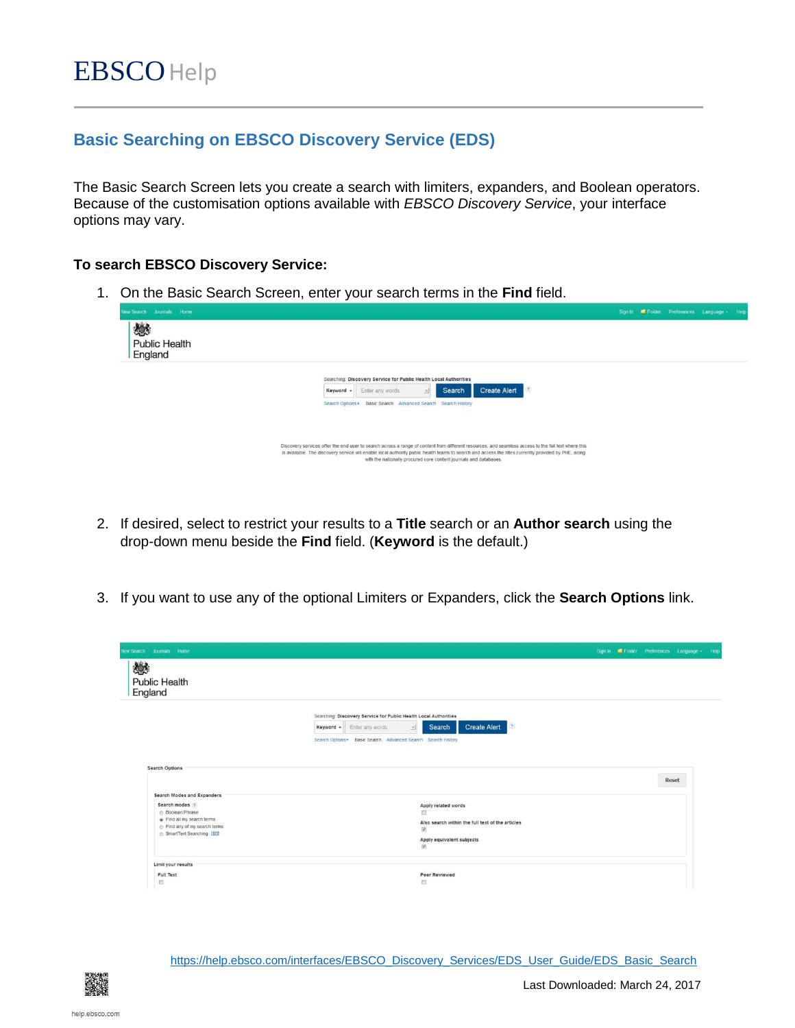## **Basic Searching on EBSCO Discovery Service (EDS)**

The Basic Search Screen lets you create a search with limiters, expanders, and Boolean operators. Because of the customisation options available with *EBSCO Discovery Service*, your interface options may vary.

## **To search EBSCO Discovery Service:**

1. On the Basic Search Screen, enter your search terms in the **Find** field.



- 2. If desired, select to restrict your results to a **Title** search or an **Author search** using the drop-down menu beside the **Find** field. (**Keyword** is the default.)
- 3. If you want to use any of the optional Limiters or Expanders, click the **Search Options** link.

| lew Search Journals Home             |                                                                                   |  | Sign in <b>E</b> Folder Preferences Language + Help |  |
|--------------------------------------|-----------------------------------------------------------------------------------|--|-----------------------------------------------------|--|
| 燃<br><b>Public Health</b><br>England |                                                                                   |  |                                                     |  |
|                                      | Searching: Discovery Service for Public Health Local Authorities                  |  |                                                     |  |
|                                      | <b>Create Alert</b><br>Search<br>(2)<br>$\propto$<br>Enter any words<br>Keyword - |  |                                                     |  |
|                                      | Search Options . Basic Search Advanced Search Search History                      |  |                                                     |  |
|                                      |                                                                                   |  |                                                     |  |
| <b>Search Options</b>                |                                                                                   |  |                                                     |  |
|                                      |                                                                                   |  | Reset                                               |  |
|                                      |                                                                                   |  |                                                     |  |
| Search Modes and Expanders           |                                                                                   |  |                                                     |  |
| Search modes ?                       | Apply related words                                                               |  |                                                     |  |
| <b>Boolean/Phrase</b>                | m                                                                                 |  |                                                     |  |
| Find all my search terms             | Also search within the full text of the articles                                  |  |                                                     |  |
| Find any of my search terms          | $\overline{\mathcal{L}}$                                                          |  |                                                     |  |
| SmartText Searching Hint             | Apply equivalent subjects                                                         |  |                                                     |  |
|                                      | $\overline{\mathcal{A}}$                                                          |  |                                                     |  |
| Limit your results                   |                                                                                   |  |                                                     |  |
| Full Text                            | Peer Reviewed                                                                     |  |                                                     |  |